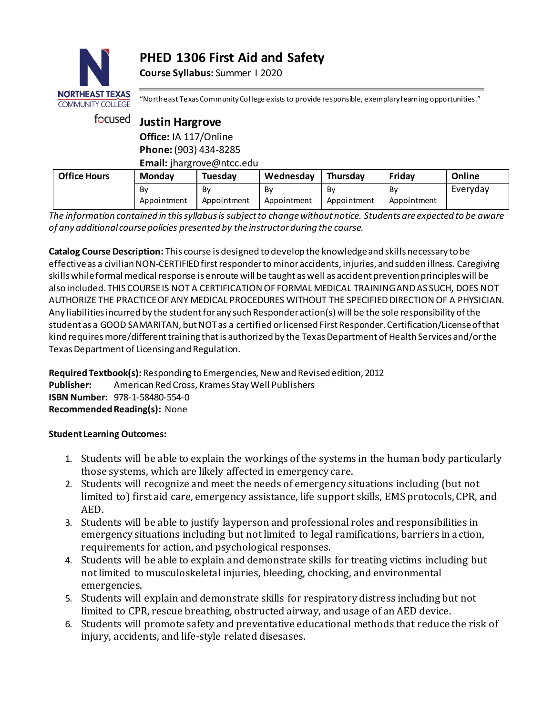# **PHED 1306 First Aid and Safety**

**Course Syllabus:** Summer I 2020



"Northeast Texas Community College exists to provide responsible, exemplary learning opportunities."

| focused             | <b>Justin Hargrove</b>    |                   |                   |                   |                   |          |  |
|---------------------|---------------------------|-------------------|-------------------|-------------------|-------------------|----------|--|
|                     | Office: IA 117/Online     |                   |                   |                   |                   |          |  |
|                     | Phone: (903) 434-8285     |                   |                   |                   |                   |          |  |
|                     | Email: jhargrove@ntcc.edu |                   |                   |                   |                   |          |  |
| <b>Office Hours</b> | Monday                    | Tuesday           | Wednesday         | Thursday          | Friday            | Online   |  |
|                     | By<br>Appointment         | Bv<br>Appointment | Bv<br>Appointment | Bv<br>Appointment | Bv<br>Appointment | Everyday |  |

*The information contained in this syllabus is subject to change without notice. Students are expected to be aware of any additional course policies presented by the instructor during the course.*

**Catalog Course Description:** This course is designed to develop the knowledge and skills necessary to be effective as a civilian NON-CERTIFIED first responder to minor accidents, injuries, and sudden illness. Caregiving skills while formal medical response is enroute will be taught as well as accident prevention principles will be also included. THIS COURSE IS NOT A CERTIFICATION OF FORMAL MEDICAL TRAINING AND AS SUCH, DOES NOT AUTHORIZE THE PRACTICE OF ANY MEDICAL PROCEDURES WITHOUT THE SPECIFIED DIRECTION OF A PHYSICIAN. Any liabilities incurred by the student for any such Responder action(s) will be the sole responsibility of the student as a GOOD SAMARITAN, but NOT as a certified or licensed First Responder. Certification/License of that kind requires more/different training that is authorized by the Texas Department of Health Services and/or the Texas Department of Licensing and Regulation.

**Required Textbook(s):** Responding to Emergencies, New and Revised edition, 2012 **Publisher:** American Red Cross, Krames Stay Well Publishers **ISBN Number:** 978-1-58480-554-0 **Recommended Reading(s):** None

## **Student Learning Outcomes:**

- 1. Students will be able to explain the workings of the systems in the human body particularly those systems, which are likely affected in emergency care.
- 2. Students will recognize and meet the needs of emergency situations including (but not limited to) first aid care, emergency assistance, life support skills, EMS protocols, CPR, and AED.
- 3. Students will be able to justify layperson and professional roles and responsibilities in emergency situations including but not limited to legal ramifications, barriers in action, requirements for action, and psychological responses.
- 4. Students will be able to explain and demonstrate skills for treating victims including but not limited to musculoskeletal injuries, bleeding, chocking, and environmental emergencies.
- 5. Students will explain and demonstrate skills for respiratory distress including but not limited to CPR, rescue breathing, obstructed airway, and usage of an AED device.
- 6. Students will promote safety and preventative educational methods that reduce the risk of injury, accidents, and life-style related disesases.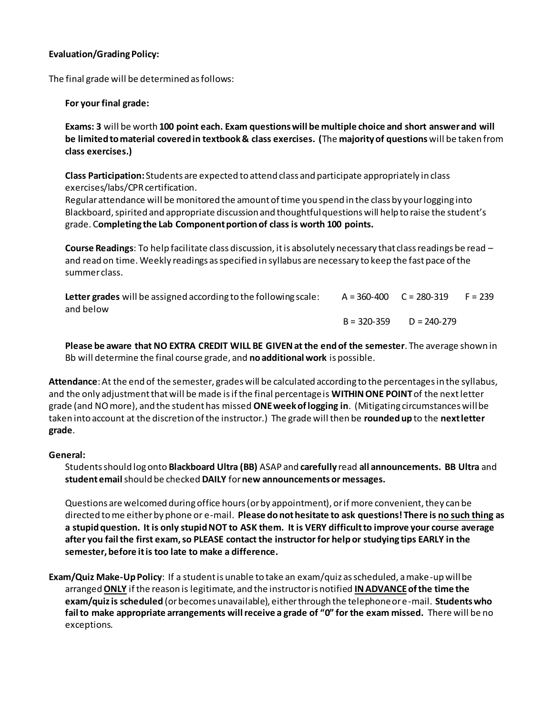### **Evaluation/Grading Policy:**

The final grade will be determined as follows:

### **For your final grade:**

**Exams: 3** will be worth **100 point each. Exam questions will be multiple choice and short answer and will be limited to material covered in textbook & class exercises. (**The **majority of questions** will be taken from **class exercises.)**

**Class Participation:** Students are expected to attend class and participate appropriately in class exercises/labs/CPR certification.

Regular attendance will be monitored the amount of time you spend in the class by your logging into Blackboard, spirited and appropriate discussion and thoughtful questions will help to raise the student's grade. C**ompleting the Lab Component portion of class is worth 100 points.** 

**Course Readings**: To help facilitate class discussion, it is absolutely necessary that class readings be read – and read on time. Weekly readings as specified in syllabus are necessary to keep the fast pace of the summer class.

| Letter grades will be assigned according to the following scale: | $A = 360 - 400$ $C = 280 - 319$ |                 | $F = 239$ |
|------------------------------------------------------------------|---------------------------------|-----------------|-----------|
| and below                                                        |                                 |                 |           |
|                                                                  | B = 320-359                     | $D = 240 - 279$ |           |

**Please be aware that NO EXTRA CREDIT WILL BE GIVEN at the end of the semester**. The average shown in Bb will determine the final course grade, and **no additional work** is possible.

**Attendance**:At the end of the semester, grades will be calculated according to the percentages in the syllabus, and the only adjustment that will be made is if the final percentage is **WITHIN ONE POINT**of the next letter grade (and NO more), and the student has missed **ONEweek of logging in**. (Mitigating circumstances will be taken into account at the discretion of the instructor.) The grade will then be **rounded up** to the **next letter grade**.

#### **General:**

Students should log onto **Blackboard Ultra (BB)** ASAP and **carefully** read **all announcements. BB Ultra** and **student email** should be checked **DAILY** for**new announcements or messages.** 

Questions are welcomed during office hours (or by appointment), or if more convenient, they can be directed to me either by phone or e-mail. **Please do not hesitate to ask questions! There is no such thing as a stupid question. It is only stupid NOT to ASK them. It is VERY difficult to improve your course average after you fail the first exam, so PLEASE contact the instructor for help or studying tips EARLY in the semester, before it is too late to make a difference.** 

**Exam/Quiz Make-Up Policy**: If a student is unable to take an exam/quiz as scheduled, a make-up will be arranged **ONLY** if the reason is legitimate, and the instructor is notified **IN ADVANCEof the time the exam/quiz is scheduled** (or becomes unavailable), either through the telephone or e-mail. **Students who fail to make appropriate arrangements will receive a grade of "0" for the exam missed.** There will be no exceptions.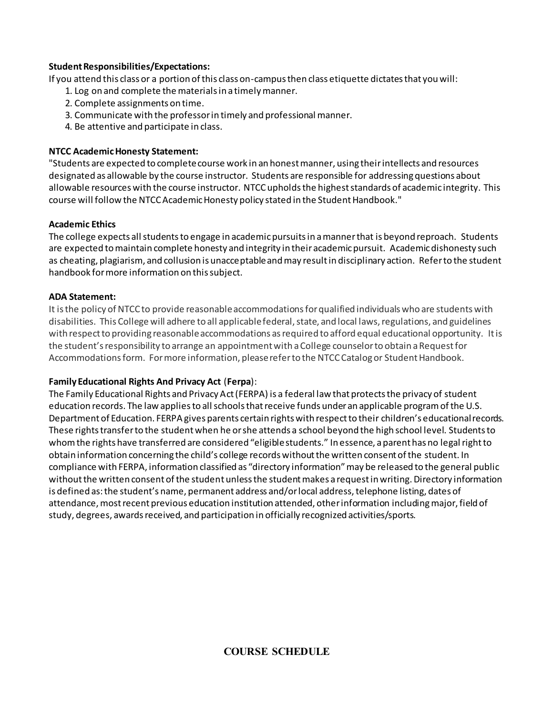#### **Student Responsibilities/Expectations:**

If you attend this class or a portion of this class on-campus then class etiquette dictates that you will:

- 1. Log on and complete the materials in a timely manner.
- 2. Complete assignments on time.
- 3. Communicate with the professor in timely and professional manner.
- 4. Be attentive and participate in class.

## **NTCC Academic Honesty Statement:**

"Students are expected to complete course work in an honest manner, using their intellects and resources designated as allowable by the course instructor. Students are responsible for addressing questions about allowable resources with the course instructor. NTCC upholds the highest standards of academic integrity. This course will follow the NTCC Academic Honesty policy stated in the Student Handbook."

### **Academic Ethics**

The college expects all students to engage in academic pursuits in a manner that is beyond reproach. Students are expected to maintain complete honesty and integrity in their academic pursuit. Academic dishonesty such as cheating, plagiarism, and collusion is unacceptable and may result in disciplinary action. Refer to the student handbook for more information on this subject.

### **ADA Statement:**

It is the policy of NTCC to provide reasonable accommodations for qualified individuals who are students with disabilities. This College will adhere to all applicable federal, state, and local laws, regulations, and guidelines with respect to providing reasonable accommodations as required to afford equal educational opportunity. It is the student's responsibility to arrange an appointment with a College counselor to obtain a Request for Accommodations form. For more information, please refer to the NTCC Catalog or Student Handbook.

## **Family Educational Rights And Privacy Act** (**Ferpa**):

The Family Educational Rights and Privacy Act (FERPA) is a federal law that protects the privacy of student education records. The law applies to all schools that receive funds under an applicable program of the U.S. Department of Education. FERPA gives parents certain rights with respect to their children's educational records. These rights transfer to the student when he or she attends a school beyond the high school level. Students to whom the rights have transferred are considered "eligible students." In essence, a parent has no legal right to obtain information concerning the child's college records without the written consent of the student. In compliance with FERPA, information classified as "directory information" may be released to the general public without the written consent of the student unless the student makes a request in writing. Directory information is defined as: the student's name, permanent address and/or local address, telephone listing, dates of attendance, most recent previous education institution attended, other information including major, field of study, degrees, awards received, and participation in officially recognized activities/sports.